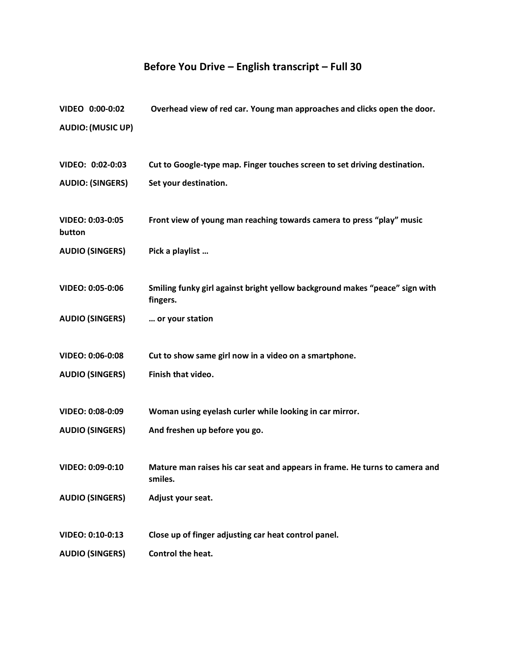## **Before You Drive – English transcript – Full 30**

| VIDEO 0:00-0:02            | Overhead view of red car. Young man approaches and clicks open the door.               |
|----------------------------|----------------------------------------------------------------------------------------|
| <b>AUDIO: (MUSIC UP)</b>   |                                                                                        |
|                            |                                                                                        |
| VIDEO: 0:02-0:03           | Cut to Google-type map. Finger touches screen to set driving destination.              |
| <b>AUDIO: (SINGERS)</b>    | Set your destination.                                                                  |
|                            |                                                                                        |
|                            |                                                                                        |
| VIDEO: 0:03-0:05<br>button | Front view of young man reaching towards camera to press "play" music                  |
|                            |                                                                                        |
| <b>AUDIO (SINGERS)</b>     | Pick a playlist                                                                        |
|                            |                                                                                        |
| VIDEO: 0:05-0:06           | Smiling funky girl against bright yellow background makes "peace" sign with            |
|                            | fingers.                                                                               |
| <b>AUDIO (SINGERS)</b>     | or your station                                                                        |
|                            |                                                                                        |
| VIDEO: 0:06-0:08           | Cut to show same girl now in a video on a smartphone.                                  |
| <b>AUDIO (SINGERS)</b>     | Finish that video.                                                                     |
|                            |                                                                                        |
| VIDEO: 0:08-0:09           | Woman using eyelash curler while looking in car mirror.                                |
| <b>AUDIO (SINGERS)</b>     | And freshen up before you go.                                                          |
|                            |                                                                                        |
|                            |                                                                                        |
| VIDEO: 0:09-0:10           | Mature man raises his car seat and appears in frame. He turns to camera and<br>smiles. |
| <b>AUDIO (SINGERS)</b>     | Adjust your seat.                                                                      |
|                            |                                                                                        |
|                            |                                                                                        |
| VIDEO: 0:10-0:13           | Close up of finger adjusting car heat control panel.                                   |
| <b>AUDIO (SINGERS)</b>     | Control the heat.                                                                      |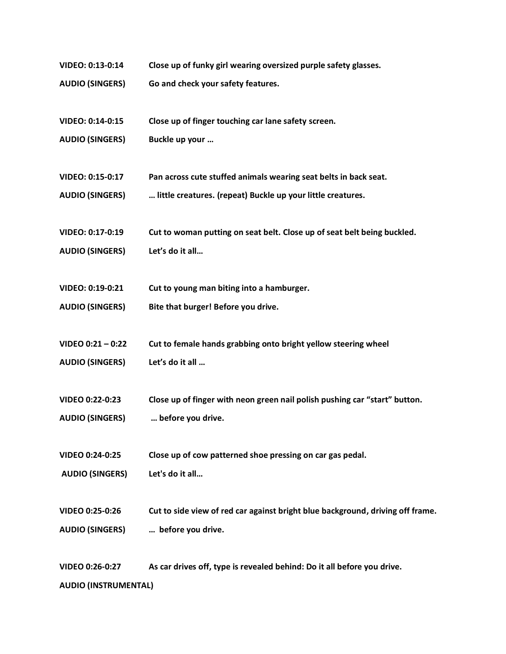- **VIDEO: 0:13-0:14 Close up of funky girl wearing oversized purple safety glasses.**
- **AUDIO (SINGERS) Go and check your safety features.**
- **VIDEO: 0:14-0:15 Close up of finger touching car lane safety screen.**
- **AUDIO (SINGERS) Buckle up your …**
- **VIDEO: 0:15-0:17 Pan across cute stuffed animals wearing seat belts in back seat.**
- **AUDIO (SINGERS) … little creatures. (repeat) Buckle up your little creatures.**
- **VIDEO: 0:17-0:19 Cut to woman putting on seat belt. Close up of seat belt being buckled.**
- **AUDIO (SINGERS) Let's do it all…**
- **VIDEO: 0:19-0:21 Cut to young man biting into a hamburger.**
- **AUDIO (SINGERS) Bite that burger! Before you drive.**
- **VIDEO 0:21 – 0:22 Cut to female hands grabbing onto bright yellow steering wheel**
- **AUDIO (SINGERS) Let's do it all …**
- **VIDEO 0:22-0:23 Close up of finger with neon green nail polish pushing car "start" button.**
- **AUDIO (SINGERS) … before you drive.**
- **VIDEO 0:24-0:25 Close up of cow patterned shoe pressing on car gas pedal.**
- **AUDIO (SINGERS) Let's do it all…**
- **VIDEO 0:25-0:26 Cut to side view of red car against bright blue background, driving off frame. AUDIO (SINGERS) … before you drive.**

**VIDEO 0:26-0:27 As car drives off, type is revealed behind: Do it all before you drive. AUDIO (INSTRUMENTAL)**